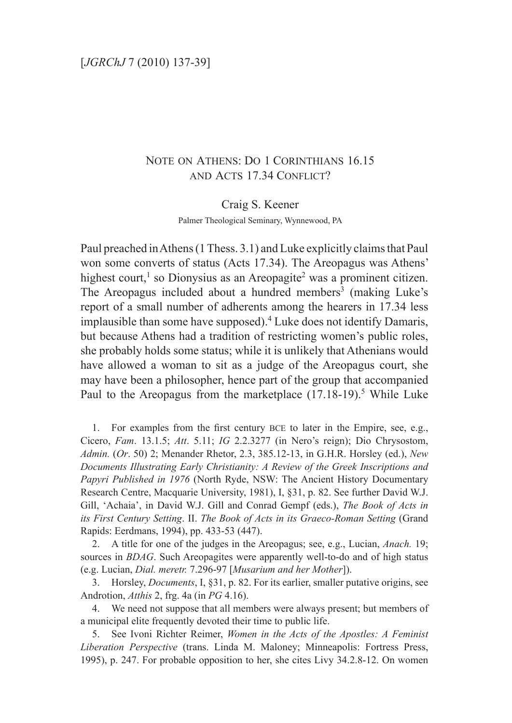## Note on Athens: Do 1 Corinthians 16.15 and Acts 17.34 Conflict?

Craig S. Keener

Palmer Theological Seminary, Wynnewood, PA

Paul preached in Athens (1 Thess. 3.1) and Luke explicitly claims that Paul won some converts of status (Acts 17.34). The Areopagus was Athens' highest court,<sup>1</sup> so Dionysius as an Areopagite<sup>2</sup> was a prominent citizen. The Areopagus included about a hundred members<sup>3</sup> (making Luke's report of a small number of adherents among the hearers in 17.34 less implausible than some have supposed).4 Luke does not identify Damaris, but because Athens had a tradition of restricting women's public roles, she probably holds some status; while it is unlikely that Athenians would have allowed a woman to sit as a judge of the Areopagus court, she may have been a philosopher, hence part of the group that accompanied Paul to the Areopagus from the marketplace  $(17.18-19)$ <sup>5</sup> While Luke

1. For examples from the first century BCE to later in the Empire, see, e.g., Cicero, *Fam*. 13.1.5; *Att*. 5.11; *IG* 2.2.3277 (in Nero's reign); Dio Chrysostom, *Admin.* (*Or*. 50) 2; Menander Rhetor, 2.3, 385.12-13, in G.H.R. Horsley (ed.), *New Documents Illustrating Early Christianity: A Review of the Greek Inscriptions and Papyri Published in 1976* (North Ryde, NSW: The Ancient History Documentary Research Centre, Macquarie University, 1981), I, §31, p. 82. See further David W.J. Gill, 'Achaia', in David W.J. Gill and Conrad Gempf (eds.), *The Book of Acts in its First Century Setting*. II. *The Book of Acts in its Graeco-Roman Setting* (Grand Rapids: Eerdmans, 1994), pp. 433-53 (447).

2. A title for one of the judges in the Areopagus; see, e.g., Lucian, *Anach.* 19; sources in *BDAG*. Such Areopagites were apparently well-to-do and of high status (e.g. Lucian, *Dial. meretr.* 7.296-97 [*Musarium and her Mother*]).

3. Horsley, *Documents*, I, §31, p. 82. For its earlier, smaller putative origins, see Androtion, *Atthis* 2, frg. 4a (in *PG* 4.16).

4. We need not suppose that all members were always present; but members of a municipal elite frequently devoted their time to public life.

5. See Ivoni Richter Reimer, *Women in the Acts of the Apostles: A Feminist Liberation Perspective* (trans. Linda M. Maloney; Minneapolis: Fortress Press, 1995), p. 247. For probable opposition to her, she cites Livy 34.2.8-12. On women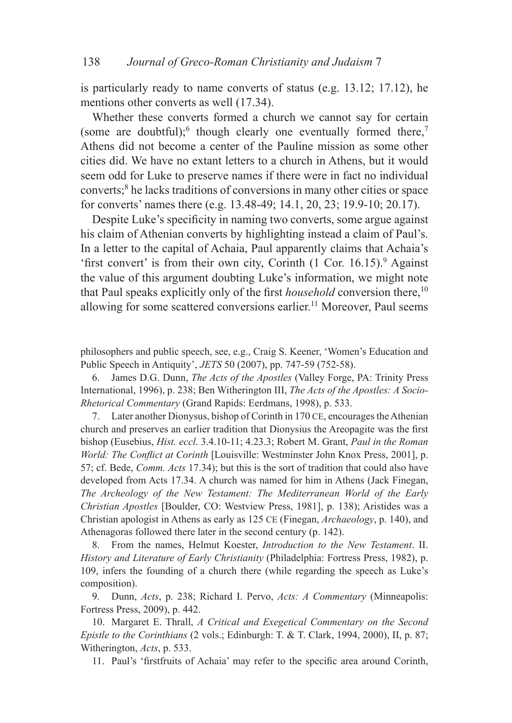is particularly ready to name converts of status (e.g. 13.12; 17.12), he mentions other converts as well (17.34).

Whether these converts formed a church we cannot say for certain (some are doubtful); though clearly one eventually formed there,<sup>7</sup> Athens did not become a center of the Pauline mission as some other cities did. We have no extant letters to a church in Athens, but it would seem odd for Luke to preserve names if there were in fact no individual converts;<sup>8</sup> he lacks traditions of conversions in many other cities or space for converts' names there (e.g. 13.48-49; 14.1, 20, 23; 19.9-10; 20.17).

Despite Luke's specificity in naming two converts, some argue against his claim of Athenian converts by highlighting instead a claim of Paul's. In a letter to the capital of Achaia, Paul apparently claims that Achaia's 'first convert' is from their own city, Corinth  $(1 \text{ Cor. } 16.15)$ .  $9$  Against the value of this argument doubting Luke's information, we might note that Paul speaks explicitly only of the first *household* conversion there,<sup>10</sup> allowing for some scattered conversions earlier.<sup>11</sup> Moreover, Paul seems

philosophers and public speech, see, e.g., Craig S. Keener, 'Women's Education and Public Speech in Antiquity', *JETS* 50 (2007), pp. 747-59 (752-58).

6. James D.G. Dunn, *The Acts of the Apostles* (Valley Forge, PA: Trinity Press International, 1996), p. 238; Ben Witherington III, *The Acts of the Apostles: A Socio-Rhetorical Commentary* (Grand Rapids: Eerdmans, 1998), p. 533.

7. Later another Dionysus, bishop of Corinth in 170 ce, encourages the Athenian church and preserves an earlier tradition that Dionysius the Areopagite was the first bishop (Eusebius, *Hist. eccl*. 3.4.10-11; 4.23.3; Robert M. Grant, *Paul in the Roman World: The Conflict at Corinth* [Louisville: Westminster John Knox Press, 2001], p. 57; cf. Bede, *Comm. Acts* 17.34); but this is the sort of tradition that could also have developed from Acts 17.34. A church was named for him in Athens (Jack Finegan, *The Archeology of the New Testament: The Mediterranean World of the Early Christian Apostles* [Boulder, CO: Westview Press, 1981], p. 138); Aristides was a Christian apologist in Athens as early as 125 ce (Finegan, *Archaeology*, p. 140), and Athenagoras followed there later in the second century (p. 142).

8. From the names, Helmut Koester, *Introduction to the New Testament*. II. *History and Literature of Early Christianity* (Philadelphia: Fortress Press, 1982), p. 109, infers the founding of a church there (while regarding the speech as Luke's composition).

9. Dunn, *Acts*, p. 238; Richard I. Pervo, *Acts: A Commentary* (Minneapolis: Fortress Press, 2009), p. 442.

10. Margaret E. Thrall, *A Critical and Exegetical Commentary on the Second Epistle to the Corinthians* (2 vols.; Edinburgh: T. & T. Clark, 1994, 2000), II, p. 87; Witherington, *Acts*, p. 533.

11. Paul's 'firstfruits of Achaia' may refer to the specific area around Corinth,